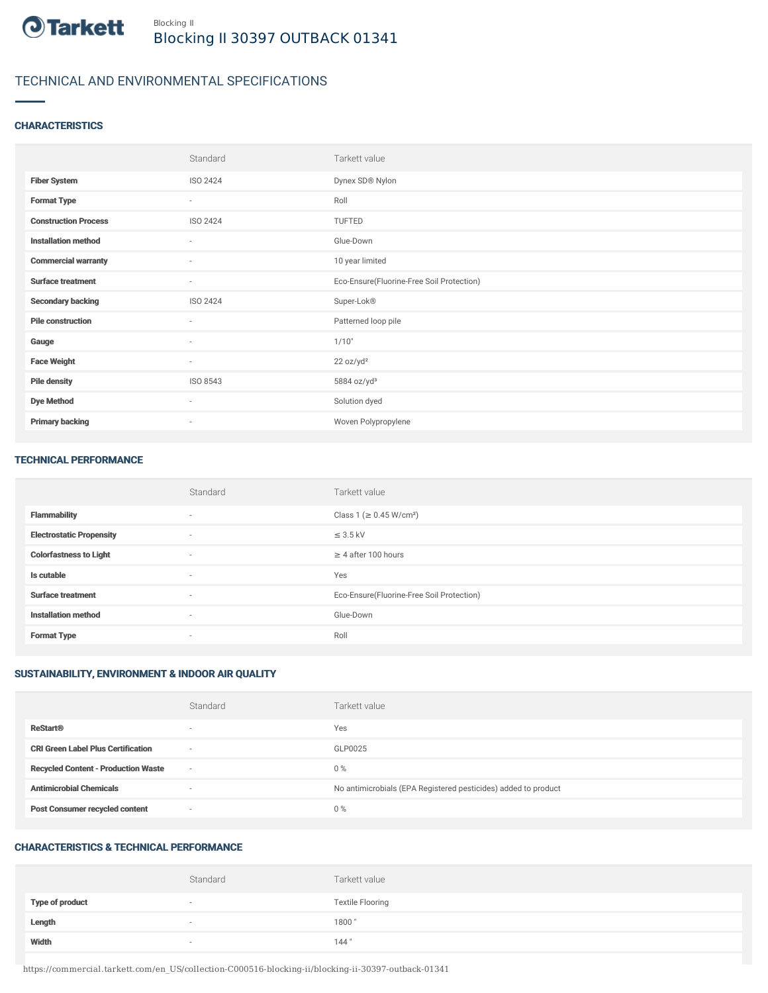

# TECHNICAL AND ENVIRONMENTAL SPECIFICATIONS

# **CHARACTERISTICS**

|                             | Standard | Tarkett value                             |
|-----------------------------|----------|-------------------------------------------|
| <b>Fiber System</b>         | ISO 2424 | Dynex SD® Nylon                           |
| <b>Format Type</b>          | $\sim$   | Roll                                      |
| <b>Construction Process</b> | ISO 2424 | TUFTED                                    |
| <b>Installation method</b>  | $\sim$   | Glue-Down                                 |
| <b>Commercial warranty</b>  | $\sim$   | 10 year limited                           |
| <b>Surface treatment</b>    | $\sim$   | Eco-Ensure(Fluorine-Free Soil Protection) |
| <b>Secondary backing</b>    | ISO 2424 | Super-Lok®                                |
| <b>Pile construction</b>    | $\sim$   | Patterned loop pile                       |
| Gauge                       | $\sim$   | 1/10"                                     |
| <b>Face Weight</b>          | $\sim$   | 22 oz/yd <sup>2</sup>                     |
| <b>Pile density</b>         | ISO 8543 | 5884 oz/yd <sup>3</sup>                   |
| <b>Dye Method</b>           | $\sim$   | Solution dyed                             |
| <b>Primary backing</b>      | $\sim$   | Woven Polypropylene                       |

#### TECHNICAL PERFORMANCE

|                                 | Standard                 | Tarkett value                             |
|---------------------------------|--------------------------|-------------------------------------------|
| <b>Flammability</b>             | $\overline{\phantom{a}}$ | Class 1 (≥ 0.45 W/cm <sup>2</sup> )       |
| <b>Electrostatic Propensity</b> | $\sim$                   | $\leq$ 3.5 kV                             |
| <b>Colorfastness to Light</b>   | $\sim$                   | $\geq$ 4 after 100 hours                  |
| Is cutable                      | $\overline{\phantom{a}}$ | Yes                                       |
| <b>Surface treatment</b>        | $\sim$                   | Eco-Ensure(Fluorine-Free Soil Protection) |
| <b>Installation method</b>      | $\sim$                   | Glue-Down                                 |
| <b>Format Type</b>              | $\overline{\phantom{a}}$ | Roll                                      |

# SUSTAINABILITY, ENVIRONMENT & INDOOR AIR QUALITY

|                                            | Standard                 | Tarkett value                                                  |
|--------------------------------------------|--------------------------|----------------------------------------------------------------|
| <b>ReStart®</b>                            | $\overline{\phantom{a}}$ | Yes                                                            |
| <b>CRI Green Label Plus Certification</b>  | $\overline{\phantom{a}}$ | GLP0025                                                        |
| <b>Recycled Content - Production Waste</b> | $\sim$                   | $0\%$                                                          |
| <b>Antimicrobial Chemicals</b>             | $\overline{\phantom{a}}$ | No antimicrobials (EPA Registered pesticides) added to product |
| <b>Post Consumer recycled content</b>      | $\overline{\phantom{a}}$ | $0\%$                                                          |

# CHARACTERISTICS & TECHNICAL PERFORMANCE

|                        | Standard                 | Tarkett value           |
|------------------------|--------------------------|-------------------------|
| <b>Type of product</b> | $\overline{\phantom{a}}$ | <b>Textile Flooring</b> |
| Length                 |                          | 1800"                   |
| Width                  |                          | 144"                    |

https://commercial.tarkett.com/en\_US/collection-C000516-blocking-ii/blocking-ii-30397-outback-01341